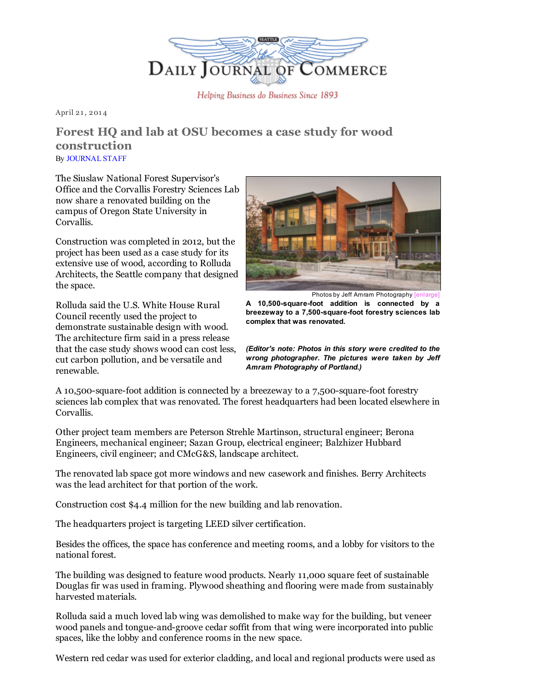

Helping Business do Business Since 1893

April 21, 2014

## Forest HQ and lab at OSU becomes a case study for wood construction By [JOURNAL](mailto:maudes@djc.com) STAFF

The Siuslaw National Forest Supervisor's Office and the Corvallis Forestry Sciences Lab now share a renovated building on the campus of Oregon State University in Corvallis.

Construction was completed in 2012, but the project has been used as a case study for its extensive use of wood, according to Rolluda Architects, the Seattle company that designed the space.

Rolluda said the U.S. White House Rural Council recently used the project to demonstrate sustainable design with wood. The architecture firm said in a press release that the case study shows wood can cost less, cut carbon pollution, and be versatile and renewable.



Photos by Jeff Amram Photography

A 10,500-square-foot addition is connected by a breezeway to a 7,500-square-foot forestry sciences lab complex that was renovated.

(Editor's note: Photos in this story were credited to the wrong photographer. The pictures were taken by Jeff Amram Photography of Portland.)

A 10,500-square-foot addition is connected by a breezeway to a 7,500-square-foot forestry sciences lab complex that was renovated. The forest headquarters had been located elsewhere in Corvallis.

Other project team members are Peterson Strehle Martinson, structural engineer; Berona Engineers, mechanical engineer; Sazan Group, electrical engineer; Balzhizer Hubbard Engineers, civil engineer; and CMcG&S, landscape architect.

The renovated lab space got more windows and new casework and finishes. Berry Architects was the lead architect for that portion of the work.

Construction cost \$4.4 million for the new building and lab renovation.

The headquarters project is targeting LEED silver certification.

Besides the offices, the space has conference and meeting rooms, and a lobby for visitors to the national forest.

The building was designed to feature wood products. Nearly 11,000 square feet of sustainable Douglas fir was used in framing. Plywood sheathing and flooring were made from sustainably harvested materials.

Rolluda said a much loved lab wing was demolished to make way for the building, but veneer wood panels and tongue-and-groove cedar soffit from that wing were incorporated into public spaces, like the lobby and conference rooms in the new space.

Western red cedar was used for exterior cladding, and local and regional products were used as